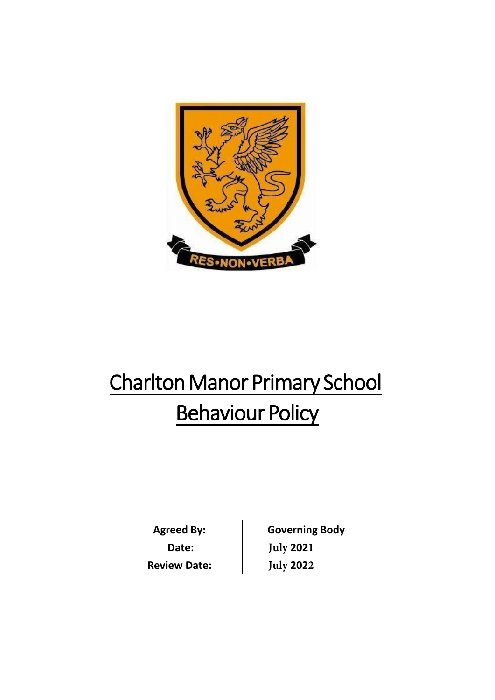

# Charlton Manor Primary School **Behaviour Policy**

| <b>Agreed By:</b>   | <b>Governing Body</b> |
|---------------------|-----------------------|
| Date:               | <b>July 2021</b>      |
| <b>Review Date:</b> | <b>July 2022</b>      |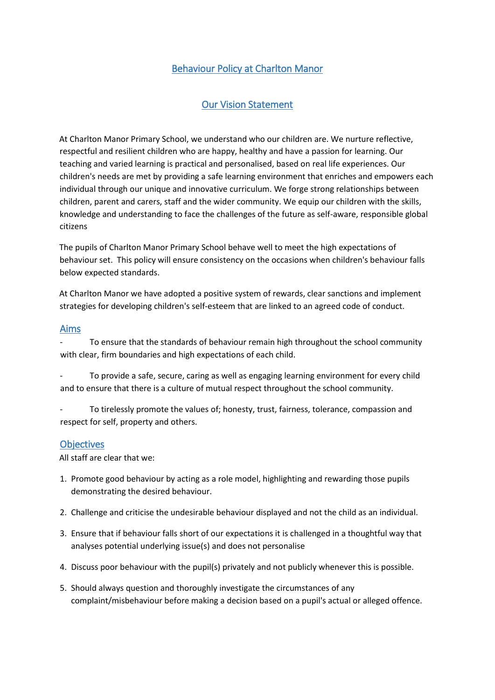# Behaviour Policy at Charlton Manor

## Our Vision Statement

At Charlton Manor Primary School, we understand who our children are. We nurture reflective, respectful and resilient children who are happy, healthy and have a passion for learning. Our teaching and varied learning is practical and personalised, based on real life experiences. Our children's needs are met by providing a safe learning environment that enriches and empowers each individual through our unique and innovative curriculum. We forge strong relationships between children, parent and carers, staff and the wider community. We equip our children with the skills, knowledge and understanding to face the challenges of the future as self-aware, responsible global citizens

The pupils of Charlton Manor Primary School behave well to meet the high expectations of behaviour set. This policy will ensure consistency on the occasions when children's behaviour falls below expected standards.

At Charlton Manor we have adopted a positive system of rewards, clear sanctions and implement strategies for developing children's self-esteem that are linked to an agreed code of conduct.

#### Aims

- To ensure that the standards of behaviour remain high throughout the school community with clear, firm boundaries and high expectations of each child.

To provide a safe, secure, caring as well as engaging learning environment for every child and to ensure that there is a culture of mutual respect throughout the school community.

To tirelessly promote the values of; honesty, trust, fairness, tolerance, compassion and respect for self, property and others.

#### **Objectives**

All staff are clear that we:

- 1. Promote good behaviour by acting as a role model, highlighting and rewarding those pupils demonstrating the desired behaviour.
- 2. Challenge and criticise the undesirable behaviour displayed and not the child as an individual.
- 3. Ensure that if behaviour falls short of our expectations it is challenged in a thoughtful way that analyses potential underlying issue(s) and does not personalise
- 4. Discuss poor behaviour with the pupil(s) privately and not publicly whenever this is possible.
- 5. Should always question and thoroughly investigate the circumstances of any complaint/misbehaviour before making a decision based on a pupil's actual or alleged offence.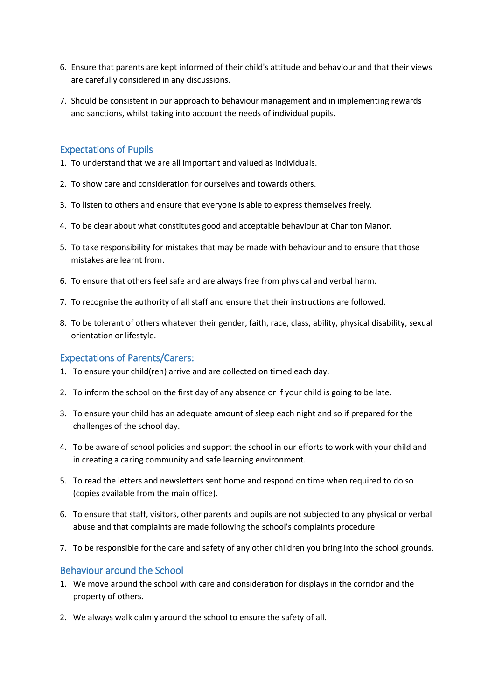- 6. Ensure that parents are kept informed of their child's attitude and behaviour and that their views are carefully considered in any discussions.
- 7. Should be consistent in our approach to behaviour management and in implementing rewards and sanctions, whilst taking into account the needs of individual pupils.

## Expectations of Pupils

- 1. To understand that we are all important and valued as individuals.
- 2. To show care and consideration for ourselves and towards others.
- 3. To listen to others and ensure that everyone is able to express themselves freely.
- 4. To be clear about what constitutes good and acceptable behaviour at Charlton Manor.
- 5. To take responsibility for mistakes that may be made with behaviour and to ensure that those mistakes are learnt from.
- 6. To ensure that others feel safe and are always free from physical and verbal harm.
- 7. To recognise the authority of all staff and ensure that their instructions are followed.
- 8. To be tolerant of others whatever their gender, faith, race, class, ability, physical disability, sexual orientation or lifestyle.

## Expectations of Parents/Carers:

- 1. To ensure your child(ren) arrive and are collected on timed each day.
- 2. To inform the school on the first day of any absence or if your child is going to be late.
- 3. To ensure your child has an adequate amount of sleep each night and so if prepared for the challenges of the school day.
- 4. To be aware of school policies and support the school in our efforts to work with your child and in creating a caring community and safe learning environment.
- 5. To read the letters and newsletters sent home and respond on time when required to do so (copies available from the main office).
- 6. To ensure that staff, visitors, other parents and pupils are not subjected to any physical or verbal abuse and that complaints are made following the school's complaints procedure.
- 7. To be responsible for the care and safety of any other children you bring into the school grounds.

### Behaviour around the School

- 1. We move around the school with care and consideration for displays in the corridor and the property of others.
- 2. We always walk calmly around the school to ensure the safety of all.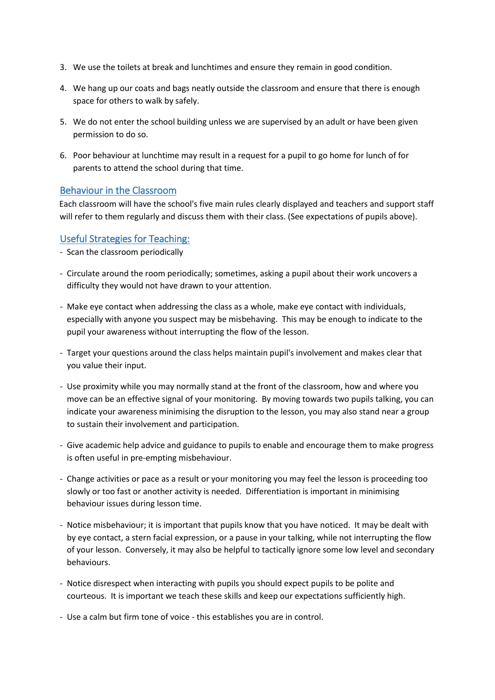- 3. We use the toilets at break and lunchtimes and ensure they remain in good condition.
- 4. We hang up our coats and bags neatly outside the classroom and ensure that there is enough space for others to walk by safely.
- 5. We do not enter the school building unless we are supervised by an adult or have been given permission to do so.
- 6. Poor behaviour at lunchtime may result in a request for a pupil to go home for lunch of for parents to attend the school during that time.

#### Behaviour in the Classroom

Each classroom will have the school's five main rules clearly displayed and teachers and support staff will refer to them regularly and discuss them with their class. (See expectations of pupils above).

#### Useful Strategies for Teaching:

- Scan the classroom periodically
- Circulate around the room periodically; sometimes, asking a pupil about their work uncovers a difficulty they would not have drawn to your attention.
- Make eye contact when addressing the class as a whole, make eye contact with individuals, especially with anyone you suspect may be misbehaving. This may be enough to indicate to the pupil your awareness without interrupting the flow of the lesson.
- Target your questions around the class helps maintain pupil's involvement and makes clear that you value their input.
- Use proximity while you may normally stand at the front of the classroom, how and where you move can be an effective signal of your monitoring. By moving towards two pupils talking, you can indicate your awareness minimising the disruption to the lesson, you may also stand near a group to sustain their involvement and participation.
- Give academic help advice and guidance to pupils to enable and encourage them to make progress is often useful in pre-empting misbehaviour.
- Change activities or pace as a result or your monitoring you may feel the lesson is proceeding too slowly or too fast or another activity is needed. Differentiation is important in minimising behaviour issues during lesson time.
- Notice misbehaviour; it is important that pupils know that you have noticed. It may be dealt with by eye contact, a stern facial expression, or a pause in your talking, while not interrupting the flow of your lesson. Conversely, it may also be helpful to tactically ignore some low level and secondary behaviours.
- Notice disrespect when interacting with pupils you should expect pupils to be polite and courteous. It is important we teach these skills and keep our expectations sufficiently high.
- Use a calm but firm tone of voice this establishes you are in control.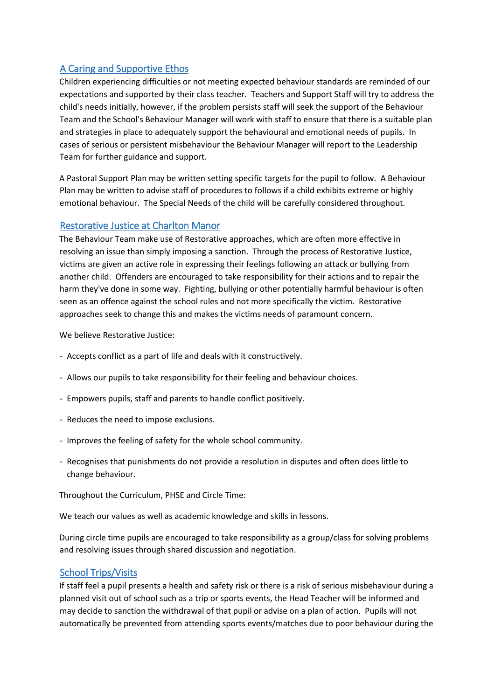## A Caring and Supportive Ethos

Children experiencing difficulties or not meeting expected behaviour standards are reminded of our expectations and supported by their class teacher. Teachers and Support Staff will try to address the child's needs initially, however, if the problem persists staff will seek the support of the Behaviour Team and the School's Behaviour Manager will work with staff to ensure that there is a suitable plan and strategies in place to adequately support the behavioural and emotional needs of pupils. In cases of serious or persistent misbehaviour the Behaviour Manager will report to the Leadership Team for further guidance and support.

A Pastoral Support Plan may be written setting specific targets for the pupil to follow. A Behaviour Plan may be written to advise staff of procedures to follows if a child exhibits extreme or highly emotional behaviour. The Special Needs of the child will be carefully considered throughout.

## Restorative Justice at Charlton Manor

The Behaviour Team make use of Restorative approaches, which are often more effective in resolving an issue than simply imposing a sanction. Through the process of Restorative Justice, victims are given an active role in expressing their feelings following an attack or bullying from another child. Offenders are encouraged to take responsibility for their actions and to repair the harm they've done in some way. Fighting, bullying or other potentially harmful behaviour is often seen as an offence against the school rules and not more specifically the victim. Restorative approaches seek to change this and makes the victims needs of paramount concern.

We believe Restorative Justice:

- Accepts conflict as a part of life and deals with it constructively.
- Allows our pupils to take responsibility for their feeling and behaviour choices.
- Empowers pupils, staff and parents to handle conflict positively.
- Reduces the need to impose exclusions.
- Improves the feeling of safety for the whole school community.
- Recognises that punishments do not provide a resolution in disputes and often does little to change behaviour.

Throughout the Curriculum, PHSE and Circle Time:

We teach our values as well as academic knowledge and skills in lessons.

During circle time pupils are encouraged to take responsibility as a group/class for solving problems and resolving issues through shared discussion and negotiation.

## School Trips/Visits

If staff feel a pupil presents a health and safety risk or there is a risk of serious misbehaviour during a planned visit out of school such as a trip or sports events, the Head Teacher will be informed and may decide to sanction the withdrawal of that pupil or advise on a plan of action. Pupils will not automatically be prevented from attending sports events/matches due to poor behaviour during the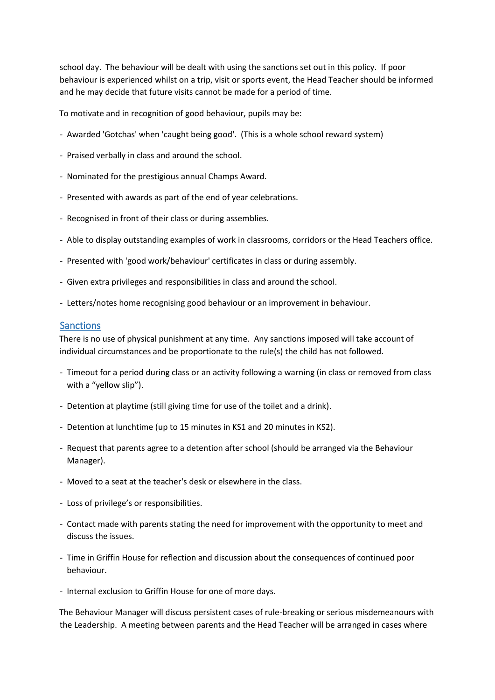school day. The behaviour will be dealt with using the sanctions set out in this policy. If poor behaviour is experienced whilst on a trip, visit or sports event, the Head Teacher should be informed and he may decide that future visits cannot be made for a period of time.

To motivate and in recognition of good behaviour, pupils may be:

- Awarded 'Gotchas' when 'caught being good'. (This is a whole school reward system)
- Praised verbally in class and around the school.
- Nominated for the prestigious annual Champs Award.
- Presented with awards as part of the end of year celebrations.
- Recognised in front of their class or during assemblies.
- Able to display outstanding examples of work in classrooms, corridors or the Head Teachers office.
- Presented with 'good work/behaviour' certificates in class or during assembly.
- Given extra privileges and responsibilities in class and around the school.
- Letters/notes home recognising good behaviour or an improvement in behaviour.

#### Sanctions

There is no use of physical punishment at any time. Any sanctions imposed will take account of individual circumstances and be proportionate to the rule(s) the child has not followed.

- Timeout for a period during class or an activity following a warning (in class or removed from class with a "yellow slip").
- Detention at playtime (still giving time for use of the toilet and a drink).
- Detention at lunchtime (up to 15 minutes in KS1 and 20 minutes in KS2).
- Request that parents agree to a detention after school (should be arranged via the Behaviour Manager).
- Moved to a seat at the teacher's desk or elsewhere in the class.
- Loss of privilege's or responsibilities.
- Contact made with parents stating the need for improvement with the opportunity to meet and discuss the issues.
- Time in Griffin House for reflection and discussion about the consequences of continued poor behaviour.
- Internal exclusion to Griffin House for one of more days.

The Behaviour Manager will discuss persistent cases of rule-breaking or serious misdemeanours with the Leadership. A meeting between parents and the Head Teacher will be arranged in cases where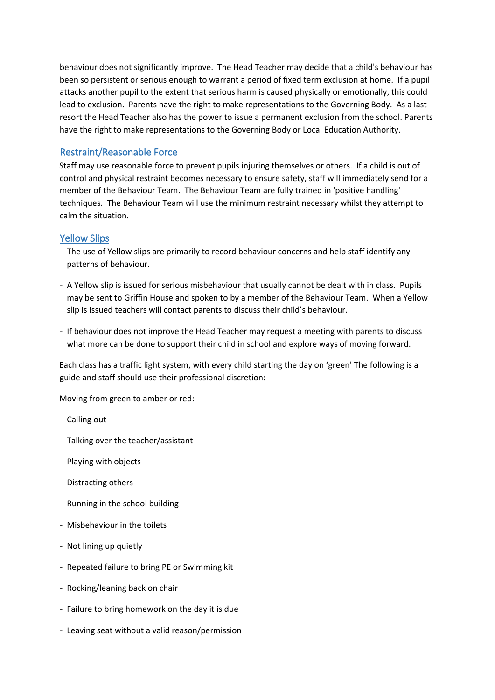behaviour does not significantly improve. The Head Teacher may decide that a child's behaviour has been so persistent or serious enough to warrant a period of fixed term exclusion at home. If a pupil attacks another pupil to the extent that serious harm is caused physically or emotionally, this could lead to exclusion. Parents have the right to make representations to the Governing Body. As a last resort the Head Teacher also has the power to issue a permanent exclusion from the school. Parents have the right to make representations to the Governing Body or Local Education Authority.

## Restraint/Reasonable Force

Staff may use reasonable force to prevent pupils injuring themselves or others. If a child is out of control and physical restraint becomes necessary to ensure safety, staff will immediately send for a member of the Behaviour Team. The Behaviour Team are fully trained in 'positive handling' techniques. The Behaviour Team will use the minimum restraint necessary whilst they attempt to calm the situation.

## Yellow Slips

- The use of Yellow slips are primarily to record behaviour concerns and help staff identify any patterns of behaviour.
- A Yellow slip is issued for serious misbehaviour that usually cannot be dealt with in class. Pupils may be sent to Griffin House and spoken to by a member of the Behaviour Team. When a Yellow slip is issued teachers will contact parents to discuss their child's behaviour.
- If behaviour does not improve the Head Teacher may request a meeting with parents to discuss what more can be done to support their child in school and explore ways of moving forward.

Each class has a traffic light system, with every child starting the day on 'green' The following is a guide and staff should use their professional discretion:

Moving from green to amber or red:

- Calling out
- Talking over the teacher/assistant
- Playing with objects
- Distracting others
- Running in the school building
- Misbehaviour in the toilets
- Not lining up quietly
- Repeated failure to bring PE or Swimming kit
- Rocking/leaning back on chair
- Failure to bring homework on the day it is due
- Leaving seat without a valid reason/permission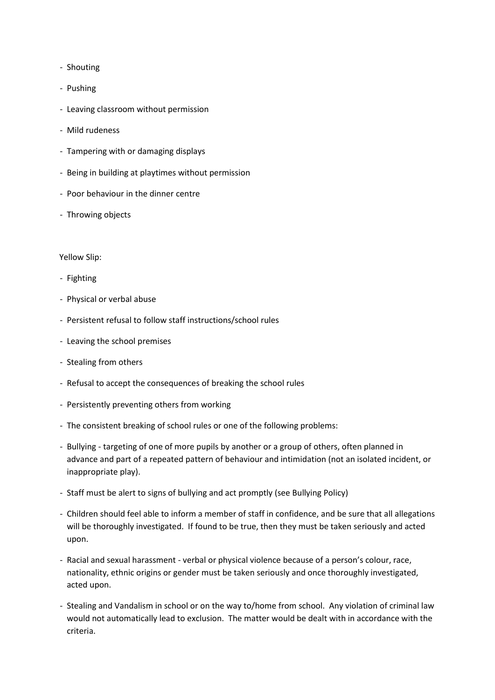- Shouting
- Pushing
- Leaving classroom without permission
- Mild rudeness
- Tampering with or damaging displays
- Being in building at playtimes without permission
- Poor behaviour in the dinner centre
- Throwing objects

#### Yellow Slip:

- Fighting
- Physical or verbal abuse
- Persistent refusal to follow staff instructions/school rules
- Leaving the school premises
- Stealing from others
- Refusal to accept the consequences of breaking the school rules
- Persistently preventing others from working
- The consistent breaking of school rules or one of the following problems:
- Bullying targeting of one of more pupils by another or a group of others, often planned in advance and part of a repeated pattern of behaviour and intimidation (not an isolated incident, or inappropriate play).
- Staff must be alert to signs of bullying and act promptly (see Bullying Policy)
- Children should feel able to inform a member of staff in confidence, and be sure that all allegations will be thoroughly investigated. If found to be true, then they must be taken seriously and acted upon.
- Racial and sexual harassment verbal or physical violence because of a person's colour, race, nationality, ethnic origins or gender must be taken seriously and once thoroughly investigated, acted upon.
- Stealing and Vandalism in school or on the way to/home from school. Any violation of criminal law would not automatically lead to exclusion. The matter would be dealt with in accordance with the criteria.